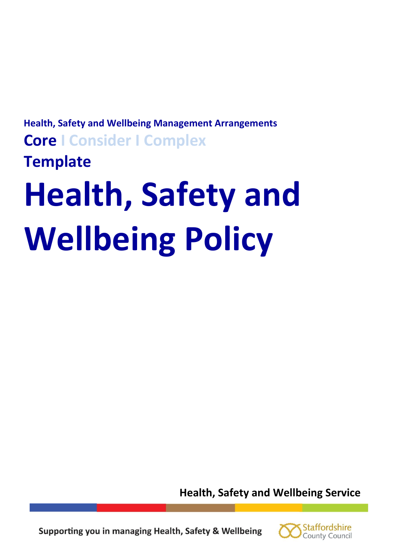# **Health, Safety and Wellbeing Management Arrangements Core I Consider I Complex Template**

# **Health, Safety and Wellbeing Policy**

**Health, Safety and Wellbeing Service** 



Supporting you in managing Health, Safety & Wellbeing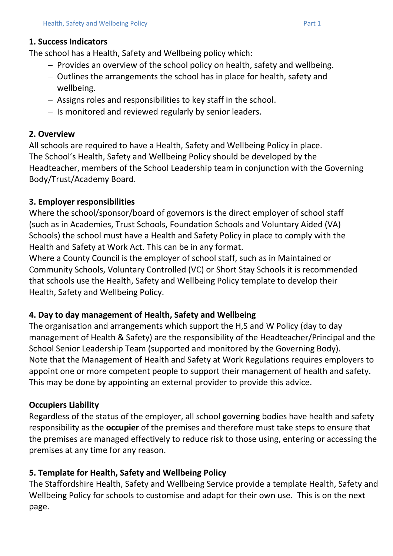The school has a Health, Safety and Wellbeing policy which:

- $-$  Provides an overview of the school policy on health, safety and wellbeing.
- Outlines the arrangements the school has in place for health, safety and wellbeing.
- Assigns roles and responsibilities to key staff in the school.
- $-$  Is monitored and reviewed regularly by senior leaders.

# **2. Overview**

All schools are required to have a Health, Safety and Wellbeing Policy in place. The School's Health, Safety and Wellbeing Policy should be developed by the Headteacher, members of the School Leadership team in conjunction with the Governing Body/Trust/Academy Board.

# **3. Employer responsibilities**

Where the school/sponsor/board of governors is the direct employer of school staff (such as in Academies, Trust Schools, Foundation Schools and Voluntary Aided (VA) Schools) the school must have a Health and Safety Policy in place to comply with the Health and Safety at Work Act. This can be in any format.

Where a County Council is the employer of school staff, such as in Maintained or Community Schools, Voluntary Controlled (VC) or Short Stay Schools it is recommended that schools use the Health, Safety and Wellbeing Policy template to develop their Health, Safety and Wellbeing Policy.

# **4. Day to day management of Health, Safety and Wellbeing**

The organisation and arrangements which support the H,S and W Policy (day to day management of Health & Safety) are the responsibility of the Headteacher/Principal and the School Senior Leadership Team (supported and monitored by the Governing Body). Note that the Management of Health and Safety at Work Regulations requires employers to appoint one or more competent people to support their management of health and safety. This may be done by appointing an external provider to provide this advice.

# **Occupiers Liability**

Regardless of the status of the employer, all school governing bodies have health and safety responsibility as the **occupier** of the premises and therefore must take steps to ensure that the premises are managed effectively to reduce risk to those using, entering or accessing the premises at any time for any reason.

# **5. Template for Health, Safety and Wellbeing Policy**

The Staffordshire Health, Safety and Wellbeing Service provide a template Health, Safety and Wellbeing Policy for schools to customise and adapt for their own use. This is on the next page.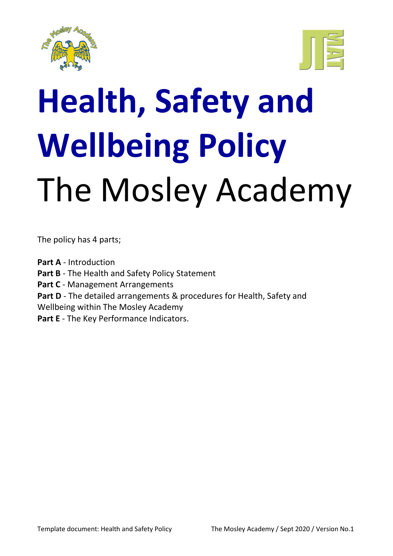



# **Health, Safety and Wellbeing Policy** The Mosley Academy

The policy has 4 parts;

**Part A** - Introduction **Part B** - The Health and Safety Policy Statement Part C - Management Arrangements **Part D** - The detailed arrangements & procedures for Health, Safety and Wellbeing within The Mosley Academy Part E - The Key Performance Indicators.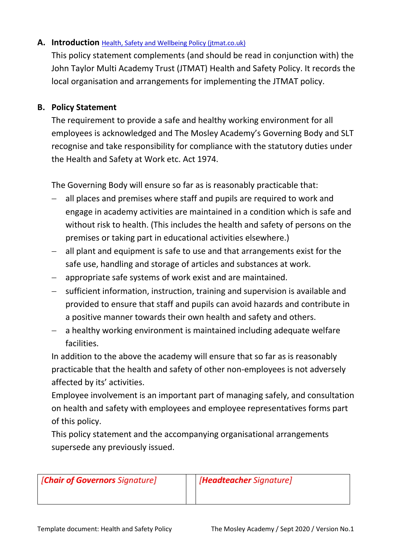#### **A. Introduction** [Health, Safety and Wellbeing Policy \(jtmat.co.uk\)](http://resources.jtmat.co.uk/policies/JTMAT%20Health%20and%20Safety%20Policy.pdf)

This policy statement complements (and should be read in conjunction with) the John Taylor Multi Academy Trust (JTMAT) Health and Safety Policy. It records the local organisation and arrangements for implementing the JTMAT policy.

#### **B. Policy Statement**

The requirement to provide a safe and healthy working environment for all employees is acknowledged and The Mosley Academy's Governing Body and SLT recognise and take responsibility for compliance with the statutory duties under the Health and Safety at Work etc. Act 1974.

The Governing Body will ensure so far as is reasonably practicable that:

- all places and premises where staff and pupils are required to work and engage in academy activities are maintained in a condition which is safe and without risk to health. (This includes the health and safety of persons on the premises or taking part in educational activities elsewhere.)
- all plant and equipment is safe to use and that arrangements exist for the safe use, handling and storage of articles and substances at work.
- appropriate safe systems of work exist and are maintained.
- sufficient information, instruction, training and supervision is available and provided to ensure that staff and pupils can avoid hazards and contribute in a positive manner towards their own health and safety and others.
- $-$  a healthy working environment is maintained including adequate welfare facilities.

In addition to the above the academy will ensure that so far as is reasonably practicable that the health and safety of other non-employees is not adversely affected by its' activities.

Employee involvement is an important part of managing safely, and consultation on health and safety with employees and employee representatives forms part of this policy.

This policy statement and the accompanying organisational arrangements supersede any previously issued.

*[Chair of Governors Signature] [Headteacher Signature]*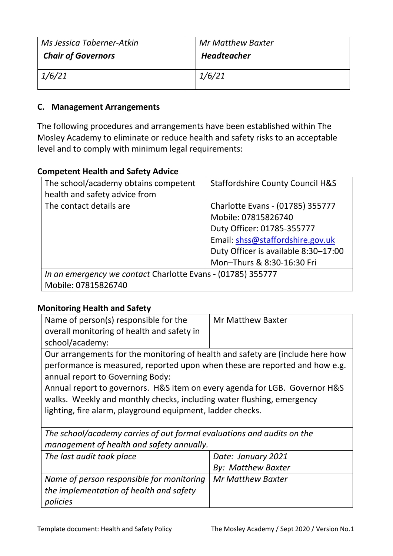| Ms Jessica Taberner-Atkin<br><b>Chair of Governors</b> | <b>Mr Matthew Baxter</b><br><b>Headteacher</b> |
|--------------------------------------------------------|------------------------------------------------|
| 1/6/21                                                 | 1/6/21                                         |

#### **C. Management Arrangements**

The following procedures and arrangements have been established within The Mosley Academy to eliminate or reduce health and safety risks to an acceptable level and to comply with minimum legal requirements:

#### **Competent Health and Safety Advice**

| The school/academy obtains competent                        | <b>Staffordshire County Council H&amp;S</b> |
|-------------------------------------------------------------|---------------------------------------------|
| health and safety advice from                               |                                             |
| The contact details are                                     | Charlotte Evans - (01785) 355777            |
|                                                             | Mobile: 07815826740                         |
|                                                             | Duty Officer: 01785-355777                  |
|                                                             | Email: shss@staffordshire.gov.uk            |
|                                                             | Duty Officer is available 8:30-17:00        |
|                                                             | Mon-Thurs & 8:30-16:30 Fri                  |
| In an emergency we contact Charlotte Evans - (01785) 355777 |                                             |
| Mobile: 07815826740                                         |                                             |

#### **Monitoring Health and Safety**

| Name of person(s) responsible for the                                          | <b>Mr Matthew Baxter</b> |
|--------------------------------------------------------------------------------|--------------------------|
| overall monitoring of health and safety in                                     |                          |
| school/academy:                                                                |                          |
| Our arrangements for the monitoring of health and safety are (include here how |                          |

Our arrangements for the monitoring of health and safety are (include here how performance is measured, reported upon when these are reported and how e.g. annual report to Governing Body:

Annual report to governors. H&S item on every agenda for LGB. Governor H&S walks. Weekly and monthly checks, including water flushing, emergency lighting, fire alarm, playground equipment, ladder checks.

*The school/academy carries of out formal evaluations and audits on the management of health and safety annually.*

| The last audit took place                                     | Date: January 2021        |
|---------------------------------------------------------------|---------------------------|
|                                                               | <b>By: Matthew Baxter</b> |
| Name of person responsible for monitoring   Mr Matthew Baxter |                           |
| the implementation of health and safety                       |                           |
| policies                                                      |                           |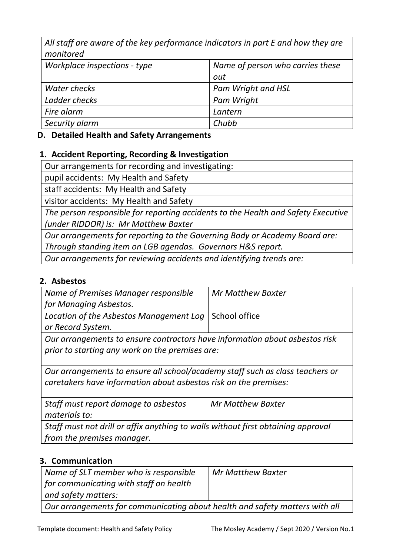*All staff are aware of the key performance indicators in part E and how they are monitored*

| Workplace inspections - type | Name of person who carries these |
|------------------------------|----------------------------------|
|                              | out                              |
| Water checks                 | Pam Wright and HSL               |
| Ladder checks                | Pam Wright                       |
| Fire alarm                   | Lantern                          |
| Security alarm               | Chubb                            |
|                              |                                  |

#### **D. Detailed Health and Safety Arrangements**

#### **1. Accident Reporting, Recording & Investigation**

Our arrangements for recording and investigating:

pupil accidents: My Health and Safety

staff accidents: My Health and Safety

visitor accidents: My Health and Safety

*The person responsible for reporting accidents to the Health and Safety Executive (under RIDDOR) is: Mr Matthew Baxter*

*Our arrangements for reporting to the Governing Body or Academy Board are: Through standing item on LGB agendas. Governors H&S report.*

*Our arrangements for reviewing accidents and identifying trends are:*

#### **2. Asbestos**

| Name of Premises Manager responsible                                        | <b>Mr Matthew Baxter</b> |  |
|-----------------------------------------------------------------------------|--------------------------|--|
| for Managing Asbestos.                                                      |                          |  |
| Location of the Asbestos Management Log   School office                     |                          |  |
| or Record System.                                                           |                          |  |
| Our arrangements to ensure contractors have information about asbestos risk |                          |  |
| prior to starting any work on the premises are:                             |                          |  |

*Our arrangements to ensure all school/academy staff such as class teachers or caretakers have information about asbestos risk on the premises:*

| Staff must report damage to asbestos                                             | Mr Matthew Baxter |  |
|----------------------------------------------------------------------------------|-------------------|--|
| materials to:                                                                    |                   |  |
| Staff must not drill or affix anything to walls without first obtaining approval |                   |  |
| from the premises manager.                                                       |                   |  |

#### **3. Communication**

| Name of SLT member who is responsible                                       | Mr Matthew Baxter |
|-----------------------------------------------------------------------------|-------------------|
| $\mid$ for communicating with staff on health                               |                   |
| $\blacksquare$ and safety matters:                                          |                   |
| Our arrangements for communicating about health and safety matters with all |                   |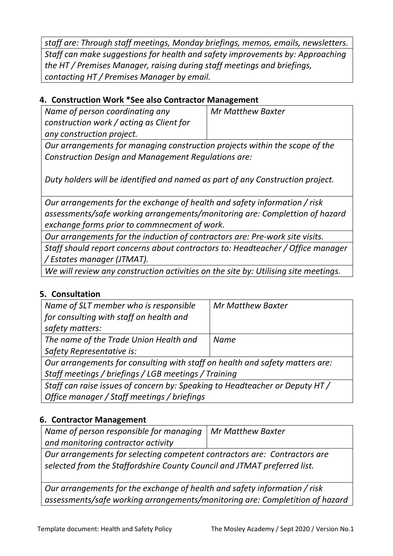*staff are: Through staff meetings, Monday briefings, memos, emails, newsletters. Staff can make suggestions for health and safety improvements by: Approaching the HT / Premises Manager, raising during staff meetings and briefings, contacting HT / Premises Manager by email.*

#### **4. Construction Work \*See also Contractor Management**

*Name of person coordinating any construction work / acting as Client for any construction project.* 

*Mr Matthew Baxter*

*Our arrangements for managing construction projects within the scope of the Construction Design and Management Regulations are:* 

*Duty holders will be identified and named as part of any Construction project.* 

*Our arrangements for the exchange of health and safety information / risk assessments/safe working arrangements/monitoring are: Complettion of hazard exchange forms prior to commnecment of work.*

*Our arrangements for the induction of contractors are: Pre-work site visits.*

*Staff should report concerns about contractors to: Headteacher / Office manager / Estates manager (JTMAT).*

*We will review any construction activities on the site by: Utilising site meetings.*

#### **5. Consultation**

| Name of SLT member who is responsible                                        | <b>Mr Matthew Baxter</b> |  |
|------------------------------------------------------------------------------|--------------------------|--|
| for consulting with staff on health and                                      |                          |  |
| safety matters:                                                              |                          |  |
| The name of the Trade Union Health and                                       | <b>Name</b>              |  |
| Safety Representative is:                                                    |                          |  |
| Our arrangements for consulting with staff on health and safety matters are: |                          |  |
| Staff meetings / briefings / LGB meetings / Training                         |                          |  |
| Staff can raise issues of concern by: Speaking to Headteacher or Deputy HT / |                          |  |
| Office manager / Staff meetings / briefings                                  |                          |  |

#### **6. Contractor Management**

| Name of person responsible for managing   Mr Matthew Baxter               |  |
|---------------------------------------------------------------------------|--|
| and monitoring contractor activity                                        |  |
| Our arrangements for selecting competent contractors are: Contractors are |  |

*Our arrangements for selecting competent contractors are: Contractors are selected from the Staffordshire County Council and JTMAT preferred list.*

*Our arrangements for the exchange of health and safety information / risk assessments/safe working arrangements/monitoring are: Completition of hazard*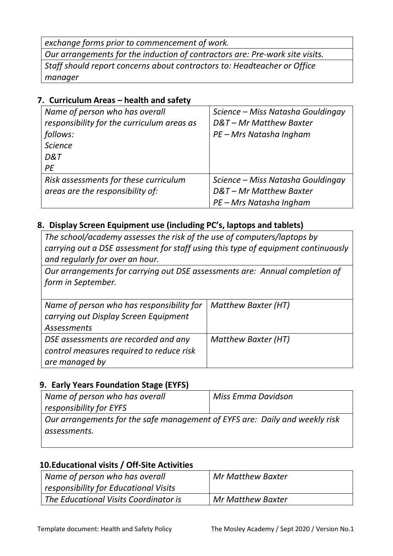*exchange forms prior to commencement of work.*

*Our arrangements for the induction of contractors are: Pre-work site visits. Staff should report concerns about contractors to: Headteacher or Office manager*

### **7. Curriculum Areas – health and safety**

| Name of person who has overall             | Science – Miss Natasha Gouldingay |
|--------------------------------------------|-----------------------------------|
| responsibility for the curriculum areas as | D&T-Mr Matthew Baxter             |
| follows:                                   | PE - Mrs Natasha Ingham           |
| <b>Science</b>                             |                                   |
| D&T                                        |                                   |
| PE                                         |                                   |
| Risk assessments for these curriculum      | Science – Miss Natasha Gouldingay |
| areas are the responsibility of:           | D&T-Mr Matthew Baxter             |
|                                            | PE - Mrs Natasha Ingham           |

#### **8. Display Screen Equipment use (including PC's, laptops and tablets)**

*The school/academy assesses the risk of the use of computers/laptops by carrying out a DSE assessment for staff using this type of equipment continuously and regularly for over an hour.* 

*Our arrangements for carrying out DSE assessments are: Annual completion of form in September.*

| Name of person who has responsibility for | <b>Matthew Baxter (HT)</b> |
|-------------------------------------------|----------------------------|
| carrying out Display Screen Equipment     |                            |
| <b>Assessments</b>                        |                            |
| DSE assessments are recorded and any      | Matthew Baxter (HT)        |
| control measures required to reduce risk  |                            |
| are managed by                            |                            |

#### **9. Early Years Foundation Stage (EYFS)**

| Name of person who has overall                                              | Miss Emma Davidson |  |
|-----------------------------------------------------------------------------|--------------------|--|
| responsibility for EYFS                                                     |                    |  |
| Our arrangements for the safe management of EYFS are: Daily and weekly risk |                    |  |
| assessments.                                                                |                    |  |
|                                                                             |                    |  |

#### **10.Educational visits / Off-Site Activities**

| Name of person who has overall        | Mr Matthew Baxter |
|---------------------------------------|-------------------|
| responsibility for Educational Visits |                   |
| The Educational Visits Coordinator is | Mr Matthew Baxter |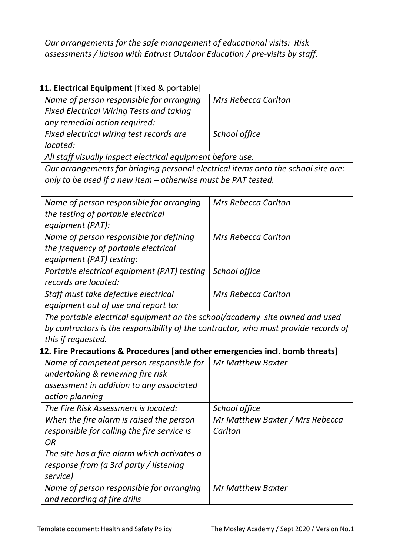*Our arrangements for the safe management of educational visits: Risk assessments / liaison with Entrust Outdoor Education / pre-visits by staff.*

# **11. Electrical Equipment** [fixed & portable]

| Name of person responsible for arranging                                            | <b>Mrs Rebecca Carlton</b>      |  |
|-------------------------------------------------------------------------------------|---------------------------------|--|
| <b>Fixed Electrical Wiring Tests and taking</b>                                     |                                 |  |
| any remedial action required:                                                       |                                 |  |
| Fixed electrical wiring test records are                                            | School office                   |  |
| located:                                                                            |                                 |  |
| All staff visually inspect electrical equipment before use.                         |                                 |  |
| Our arrangements for bringing personal electrical items onto the school site are:   |                                 |  |
| only to be used if a new item - otherwise must be PAT tested.                       |                                 |  |
|                                                                                     |                                 |  |
| Name of person responsible for arranging                                            | <b>Mrs Rebecca Carlton</b>      |  |
| the testing of portable electrical                                                  |                                 |  |
| equipment (PAT):                                                                    |                                 |  |
| Name of person responsible for defining                                             | <b>Mrs Rebecca Carlton</b>      |  |
| the frequency of portable electrical                                                |                                 |  |
| equipment (PAT) testing:                                                            |                                 |  |
| Portable electrical equipment (PAT) testing                                         | School office                   |  |
| records are located:                                                                |                                 |  |
| Staff must take defective electrical                                                | <b>Mrs Rebecca Carlton</b>      |  |
| equipment out of use and report to:                                                 |                                 |  |
| The portable electrical equipment on the school/academy site owned and used         |                                 |  |
| by contractors is the responsibility of the contractor, who must provide records of |                                 |  |
| this if requested.                                                                  |                                 |  |
| 12. Fire Precautions & Procedures [and other emergencies incl. bomb threats]        |                                 |  |
| Name of competent person responsible for                                            | <b>Mr Matthew Baxter</b>        |  |
| undertaking & reviewing fire risk                                                   |                                 |  |
| assessment in addition to any associated                                            |                                 |  |
| action planning                                                                     |                                 |  |
| The Fire Risk Assessment is located:                                                | School office                   |  |
| When the fire alarm is raised the person                                            | Mr Matthew Baxter / Mrs Rebecca |  |
| responsible for calling the fire service is                                         | Carlton                         |  |
| <b>OR</b>                                                                           |                                 |  |
| The site has a fire alarm which activates a                                         |                                 |  |
| response from (a 3rd party / listening                                              |                                 |  |
| service)                                                                            |                                 |  |
| Name of person responsible for arranging                                            | Mr Matthew Baxter               |  |
| and recording of fire drills                                                        |                                 |  |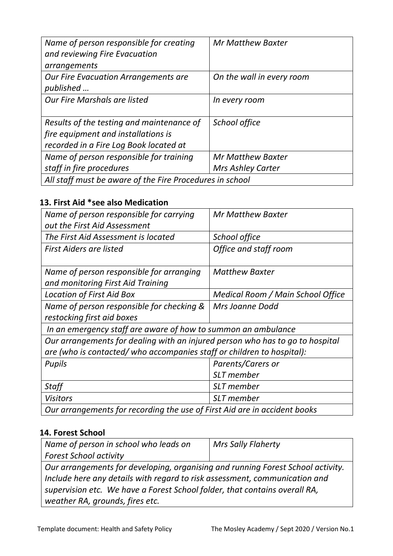| Name of person responsible for creating                  | Mr Matthew Baxter         |
|----------------------------------------------------------|---------------------------|
| and reviewing Fire Evacuation                            |                           |
| arrangements                                             |                           |
| <b>Our Fire Evacuation Arrangements are</b>              | On the wall in every room |
| published                                                |                           |
| Our Fire Marshals are listed                             | In every room             |
|                                                          |                           |
| Results of the testing and maintenance of                | School office             |
| fire equipment and installations is                      |                           |
| recorded in a Fire Log Book located at                   |                           |
| Name of person responsible for training                  | <b>Mr Matthew Baxter</b>  |
| staff in fire procedures                                 | <b>Mrs Ashley Carter</b>  |
| All staff must be aware of the Fire Procedures in school |                           |

# **13. First Aid \*see also Medication**

| Name of person responsible for carrying                                       | <b>Mr Matthew Baxter</b>          |  |
|-------------------------------------------------------------------------------|-----------------------------------|--|
| out the First Aid Assessment                                                  |                                   |  |
| The First Aid Assessment is located                                           | School office                     |  |
| First Aiders are listed                                                       | Office and staff room             |  |
|                                                                               |                                   |  |
| Name of person responsible for arranging                                      | <b>Matthew Baxter</b>             |  |
| and monitoring First Aid Training                                             |                                   |  |
| <b>Location of First Aid Box</b>                                              | Medical Room / Main School Office |  |
| Name of person responsible for checking &                                     | Mrs Joanne Dodd                   |  |
| restocking first aid boxes                                                    |                                   |  |
| In an emergency staff are aware of how to summon an ambulance                 |                                   |  |
| Our arrangements for dealing with an injured person who has to go to hospital |                                   |  |
| are (who is contacted/who accompanies staff or children to hospital):         |                                   |  |
| Pupils                                                                        | Parents/Carers or                 |  |
|                                                                               | <b>SLT</b> member                 |  |
| Staff                                                                         | <b>SLT</b> member                 |  |
| <b>Visitors</b>                                                               | SLT member                        |  |
| Our arrangements for recording the use of First Aid are in accident books     |                                   |  |

#### **14. Forest School**

| Name of person in school who leads on                                           | <b>Mrs Sally Flaherty</b> |  |
|---------------------------------------------------------------------------------|---------------------------|--|
| <b>Forest School activity</b>                                                   |                           |  |
| Our arrangements for developing, organising and running Forest School activity. |                           |  |
| Include here any details with regard to risk assessment, communication and      |                           |  |
| supervision etc. We have a Forest School folder, that contains overall RA,      |                           |  |
| weather RA, grounds, fires etc.                                                 |                           |  |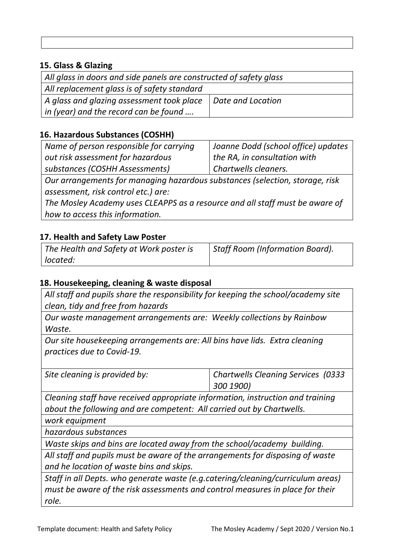#### **15. Glass & Glazing**

| All glass in doors and side panels are constructed of safety glass |                   |  |
|--------------------------------------------------------------------|-------------------|--|
| All replacement glass is of safety standard                        |                   |  |
| A glass and glazing assessment took place                          | Date and Location |  |
| $\vert$ in (year) and the record can be found                      |                   |  |

#### **16. Hazardous Substances (COSHH)**

| Name of person responsible for carrying                                      | Joanne Dodd (school office) updates |  |
|------------------------------------------------------------------------------|-------------------------------------|--|
| out risk assessment for hazardous                                            | the RA, in consultation with        |  |
| substances (COSHH Assessments)                                               | Chartwells cleaners.                |  |
| Our arrangements for managing hazardous substances (selection, storage, risk |                                     |  |
| assessment, risk control etc.) are:                                          |                                     |  |
| The Mosley Academy uses CLEAPPS as a resource and all staff must be aware of |                                     |  |
| how to access this information.                                              |                                     |  |

**17. Health and Safety Law Poster**

| The Health and Safety at Work poster is | Staff Room (Information Board). |
|-----------------------------------------|---------------------------------|
| located:                                |                                 |

#### **18. Housekeeping, cleaning & waste disposal**

*All staff and pupils share the responsibility for keeping the school/academy site clean, tidy and free from hazards* 

*Our waste management arrangements are: Weekly collections by Rainbow Waste.*

*Our site housekeeping arrangements are: All bins have lids. Extra cleaning practices due to Covid-19.* 

| Site cleaning is provided by: | Chartwells Cleaning Services (0333 |
|-------------------------------|------------------------------------|
|                               | 300 1900)                          |

*Cleaning staff have received appropriate information, instruction and training about the following and are competent: All carried out by Chartwells.*

*work equipment*

*hazardous substances*

*Waste skips and bins are located away from the school/academy building.*

*All staff and pupils must be aware of the arrangements for disposing of waste and he location of waste bins and skips.*

*Staff in all Depts. who generate waste (e.g.catering/cleaning/curriculum areas) must be aware of the risk assessments and control measures in place for their role.*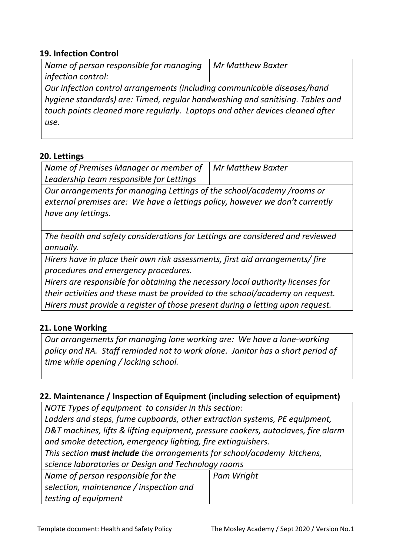#### **19. Infection Control**

| Name of person responsible for managing                                  | Mr Matthew Baxter |
|--------------------------------------------------------------------------|-------------------|
| <i>infection control:</i>                                                |                   |
| Our infection control arrangements (including communicable diseases/hand |                   |

*hygiene standards) are: Timed, regular handwashing and sanitising. Tables and touch points cleaned more regularly. Laptops and other devices cleaned after use.*

#### **20. Lettings**

| Name of Premises Manager or member of $\parallel$ Mr Matthew Baxter |  |
|---------------------------------------------------------------------|--|
| Leadership team responsible for Lettings                            |  |

*Our arrangements for managing Lettings of the school/academy /rooms or external premises are: We have a lettings policy, however we don't currently have any lettings.*

*The health and safety considerations for Lettings are considered and reviewed annually.*

*Hirers have in place their own risk assessments, first aid arrangements/ fire procedures and emergency procedures.*

*Hirers are responsible for obtaining the necessary local authority licenses for their activities and these must be provided to the school/academy on request. Hirers must provide a register of those present during a letting upon request.* 

#### **21. Lone Working**

*Our arrangements for managing lone working are: We have a lone-working policy and RA. Staff reminded not to work alone. Janitor has a short period of time while opening / locking school.*

#### **22. Maintenance / Inspection of Equipment (including selection of equipment)**

*NOTE Types of equipment to consider in this section: Ladders and steps, fume cupboards, other extraction systems, PE equipment, D&T machines, lifts & lifting equipment, pressure cookers, autoclaves, fire alarm and smoke detection, emergency lighting, fire extinguishers.*

*This section must include the arrangements for school/academy kitchens, science laboratories or Design and Technology rooms*

| Name of person responsible for the      | Pam Wright |
|-----------------------------------------|------------|
| selection, maintenance / inspection and |            |
| testing of equipment                    |            |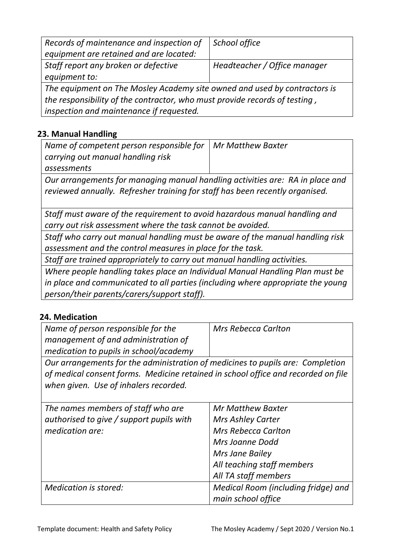| Records of maintenance and inspection of                                   | School office                |  |
|----------------------------------------------------------------------------|------------------------------|--|
| equipment are retained and are located:                                    |                              |  |
| Staff report any broken or defective                                       | Headteacher / Office manager |  |
| equipment to:                                                              |                              |  |
| The equipment on The Mosley Academy site owned and used by contractors is  |                              |  |
| the responsibility of the contractor, who must provide records of testing, |                              |  |
| inspection and maintenance if requested.                                   |                              |  |

#### **23. Manual Handling**

| Name of competent person responsible for $\mid$ Mr Matthew Baxter |  |
|-------------------------------------------------------------------|--|
| carrying out manual handling risk                                 |  |
| assessments                                                       |  |
|                                                                   |  |

*Our arrangements for managing manual handling activities are: RA in place and reviewed annually. Refresher training for staff has been recently organised.*

*Staff must aware of the requirement to avoid hazardous manual handling and carry out risk assessment where the task cannot be avoided.* 

*Staff who carry out manual handling must be aware of the manual handling risk assessment and the control measures in place for the task.*

*Staff are trained appropriately to carry out manual handling activities.*

*Where people handling takes place an Individual Manual Handling Plan must be in place and communicated to all parties (including where appropriate the young person/their parents/carers/support staff).* 

#### **24. Medication**

| Name of person responsible for the     | <b>Mrs Rebecca Carlton</b> |
|----------------------------------------|----------------------------|
| management of and administration of    |                            |
| medication to pupils in school/academy |                            |

*Our arrangements for the administration of medicines to pupils are: Completion of medical consent forms. Medicine retained in school office and recorded on file when given. Use of inhalers recorded.*

| The names members of staff who are       | <b>Mr Matthew Baxter</b>            |
|------------------------------------------|-------------------------------------|
| authorised to give / support pupils with | <b>Mrs Ashley Carter</b>            |
| medication are:                          | <b>Mrs Rebecca Carlton</b>          |
|                                          | Mrs Joanne Dodd                     |
|                                          | Mrs Jane Bailey                     |
|                                          | All teaching staff members          |
|                                          | All TA staff members                |
| <b>Medication is stored:</b>             | Medical Room (including fridge) and |
|                                          | main school office                  |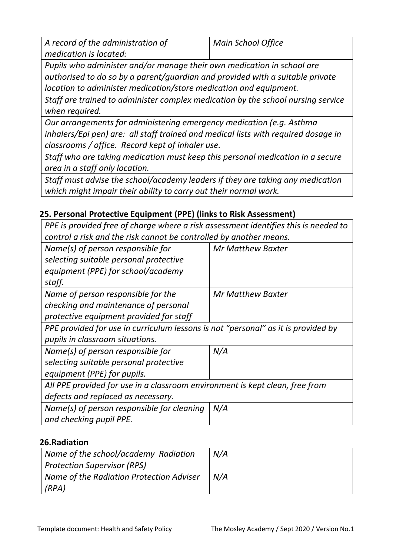| A record of the administration of | Main School Office |
|-----------------------------------|--------------------|
| medication is located:            |                    |

*Pupils who administer and/or manage their own medication in school are authorised to do so by a parent/guardian and provided with a suitable private location to administer medication/store medication and equipment.* 

*Staff are trained to administer complex medication by the school nursing service when required.* 

*Our arrangements for administering emergency medication (e.g. Asthma inhalers/Epi pen) are: all staff trained and medical lists with required dosage in classrooms / office. Record kept of inhaler use.*

*Staff who are taking medication must keep this personal medication in a secure area in a staff only location.*

*Staff must advise the school/academy leaders if they are taking any medication which might impair their ability to carry out their normal work.* 

# **25. Personal Protective Equipment (PPE) (links to Risk Assessment)**

*PPE is provided free of charge where a risk assessment identifies this is needed to control a risk and the risk cannot be controlled by another means.* 

| Name(s) of person responsible for                                                 | <b>Mr Matthew Baxter</b> |
|-----------------------------------------------------------------------------------|--------------------------|
| selecting suitable personal protective                                            |                          |
| equipment (PPE) for school/academy                                                |                          |
| staff.                                                                            |                          |
| Name of person responsible for the                                                | <b>Mr Matthew Baxter</b> |
| checking and maintenance of personal                                              |                          |
| protective equipment provided for staff                                           |                          |
| PPE provided for use in curriculum lessons is not "personal" as it is provided by |                          |
| pupils in classroom situations.                                                   |                          |
| Name(s) of person responsible for                                                 | N/A                      |
| selecting suitable personal protective                                            |                          |
| equipment (PPE) for pupils.                                                       |                          |
| All PPE provided for use in a classroom environment is kept clean, free from      |                          |
| defects and replaced as necessary.                                                |                          |
| Name(s) of person responsible for cleaning                                        | N/A                      |
| and checking pupil PPE.                                                           |                          |
|                                                                                   |                          |

#### **26.Radiation**

| Name of the school/academy Radiation     | N/A |
|------------------------------------------|-----|
| Protection Supervisor (RPS)              |     |
| Name of the Radiation Protection Adviser | N/A |
| (RPA)                                    |     |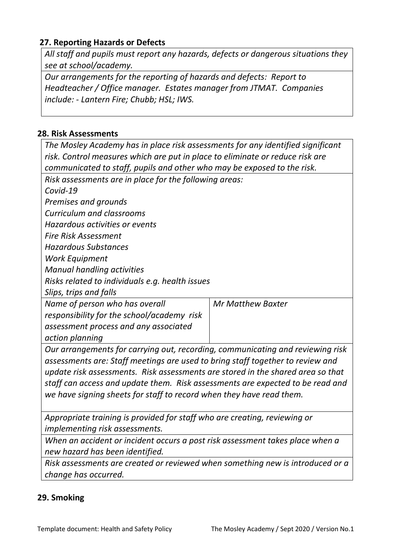#### **27. Reporting Hazards or Defects**

*All staff and pupils must report any hazards, defects or dangerous situations they see at school/academy.* 

*Our arrangements for the reporting of hazards and defects: Report to Headteacher / Office manager. Estates manager from JTMAT. Companies include: - Lantern Fire; Chubb; HSL; IWS.*

#### **28. Risk Assessments**

*The Mosley Academy has in place risk assessments for any identified significant risk. Control measures which are put in place to eliminate or reduce risk are communicated to staff, pupils and other who may be exposed to the risk. Risk assessments are in place for the following areas: Covid-19 Premises and grounds Curriculum and classrooms Hazardous activities or events Fire Risk Assessment Hazardous Substances Work Equipment Manual handling activities Risks related to individuals e.g. health issues Slips, trips and falls Name of person who has overall responsibility for the school/academy risk assessment process and any associated action planning Mr Matthew Baxter Our arrangements for carrying out, recording, communicating and reviewing risk assessments are: Staff meetings are used to bring staff together to review and update risk assessments. Risk assessments are stored in the shared area so that staff can access and update them. Risk assessments are expected to be read and we have signing sheets for staff to record when they have read them. Appropriate training is provided for staff who are creating, reviewing or implementing risk assessments. When an accident or incident occurs a post risk assessment takes place when a new hazard has been identified.* 

*Risk assessments are created or reviewed when something new is introduced or a change has occurred.* 

#### **29. Smoking**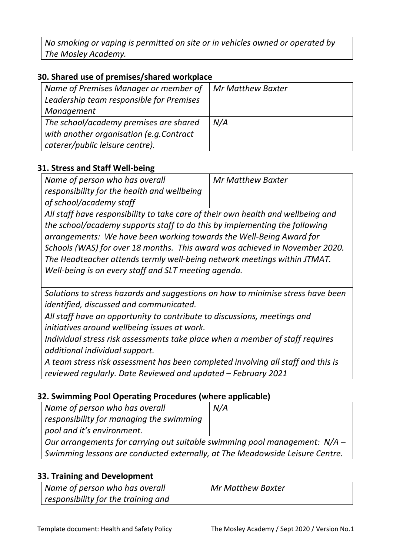*No smoking or vaping is permitted on site or in vehicles owned or operated by The Mosley Academy.*

### **30. Shared use of premises/shared workplace**

| Name of Premises Manager or member of<br>Leadership team responsible for Premises<br>Management | <b>Mr Matthew Baxter</b> |
|-------------------------------------------------------------------------------------------------|--------------------------|
| The school/academy premises are shared<br>with another organisation (e.g.Contract               | N/A                      |
| caterer/public leisure centre).                                                                 |                          |

#### **31. Stress and Staff Well-being**

| Name of person who has overall              | <b>Mr Matthew Baxter</b> |
|---------------------------------------------|--------------------------|
| responsibility for the health and wellbeing |                          |
| of school/academy staff                     |                          |

*All staff have responsibility to take care of their own health and wellbeing and the school/academy supports staff to do this by implementing the following arrangements: We have been working towards the Well-Being Award for Schools (WAS) for over 18 months. This award was achieved in November 2020. The Headteacher attends termly well-being network meetings within JTMAT. Well-being is on every staff and SLT meeting agenda.*

*Solutions to stress hazards and suggestions on how to minimise stress have been identified, discussed and communicated.* 

*All staff have an opportunity to contribute to discussions, meetings and initiatives around wellbeing issues at work.* 

*Individual stress risk assessments take place when a member of staff requires additional individual support.* 

*A team stress risk assessment has been completed involving all staff and this is reviewed regularly. Date Reviewed and updated – February 2021*

#### **32. Swimming Pool Operating Procedures (where applicable)**

| Name of person who has overall                                               | N/A |
|------------------------------------------------------------------------------|-----|
| responsibility for managing the swimming                                     |     |
| pool and it's environment.                                                   |     |
| Our arrangements for carrying out suitable swimming pool management: $N/A -$ |     |
| Swimming lessons are conducted externally, at The Meadowside Leisure Centre. |     |

#### **33. Training and Development**

| Name of person who has overall      | Mr Matthew Baxter |
|-------------------------------------|-------------------|
| responsibility for the training and |                   |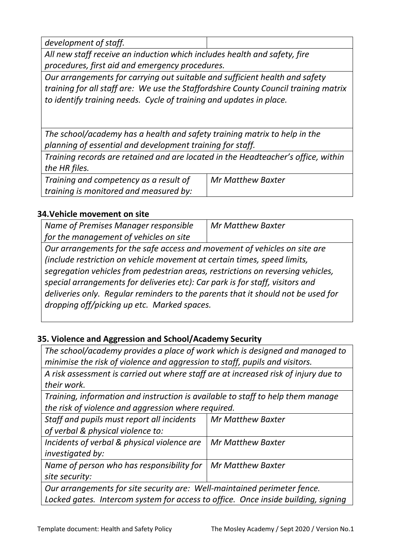| development of staff. |  |
|-----------------------|--|
|                       |  |

*All new staff receive an induction which includes health and safety, fire procedures, first aid and emergency procedures.* 

*Our arrangements for carrying out suitable and sufficient health and safety training for all staff are: We use the Staffordshire County Council training matrix to identify training needs. Cycle of training and updates in place.*

*The school/academy has a health and safety training matrix to help in the planning of essential and development training for staff.* 

*Training records are retained and are located in the Headteacher's office, within the HR files.*

*Training and competency as a result of training is monitored and measured by: Mr Matthew Baxter*

# **34.Vehicle movement on site**

*Name of Premises Manager responsible for the management of vehicles on site Mr Matthew Baxter*

*Our arrangements for the safe access and movement of vehicles on site are (include restriction on vehicle movement at certain times, speed limits, segregation vehicles from pedestrian areas, restrictions on reversing vehicles, special arrangements for deliveries etc): Car park is for staff, visitors and deliveries only. Regular reminders to the parents that it should not be used for dropping off/picking up etc. Marked spaces.*

# **35. Violence and Aggression and School/Academy Security**

*The school/academy provides a place of work which is designed and managed to minimise the risk of violence and aggression to staff, pupils and visitors.* 

*A risk assessment is carried out where staff are at increased risk of injury due to their work.*

*Training, information and instruction is available to staff to help them manage the risk of violence and aggression where required.* 

| Staff and pupils must report all incidents                                        | <b>Mr Matthew Baxter</b> |
|-----------------------------------------------------------------------------------|--------------------------|
| of verbal & physical violence to:                                                 |                          |
| Incidents of verbal & physical violence are                                       | <b>Mr Matthew Baxter</b> |
| investigated by:                                                                  |                          |
| Name of person who has responsibility for                                         | <b>Mr Matthew Baxter</b> |
| site security:                                                                    |                          |
| Our arrangements for site security are: Well-maintained perimeter fence.          |                          |
| Locked gates. Intercom system for access to office. Once inside building, signing |                          |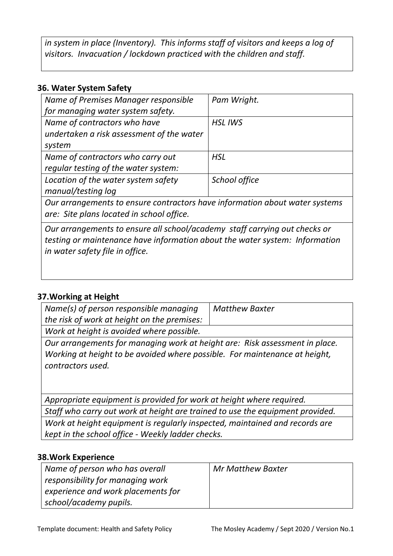*in system in place (Inventory). This informs staff of visitors and keeps a log of visitors. Invacuation / lockdown practiced with the children and staff.*

#### **36. Water System Safety**

| Name of Premises Manager responsible                                        | Pam Wright.    |
|-----------------------------------------------------------------------------|----------------|
| for managing water system safety.                                           |                |
| Name of contractors who have                                                | <b>HSL IWS</b> |
| undertaken a risk assessment of the water                                   |                |
| system                                                                      |                |
| Name of contractors who carry out                                           | <b>HSL</b>     |
| regular testing of the water system:                                        |                |
| Location of the water system safety                                         | School office  |
| manual/testing log                                                          |                |
| Our arrangements to ensure contractors have information about water systems |                |
|                                                                             |                |

*are: Site plans located in school office.*

*Our arrangements to ensure all school/academy staff carrying out checks or testing or maintenance have information about the water system: Information in water safety file in office.*

#### **37.Working at Height**

| Name(s) of person responsible managing                                                                                                                                         | <b>Matthew Baxter</b> |  |
|--------------------------------------------------------------------------------------------------------------------------------------------------------------------------------|-----------------------|--|
| the risk of work at height on the premises:                                                                                                                                    |                       |  |
| Work at height is avoided where possible.                                                                                                                                      |                       |  |
| Our arrangements for managing work at height are: Risk assessment in place.<br>Working at height to be avoided where possible. For maintenance at height,<br>contractors used. |                       |  |
| Appropriate equipment is provided for work at height where required.                                                                                                           |                       |  |
| Staff who carry out work at height are trained to use the equipment provided                                                                                                   |                       |  |

*Staff who carry out work at height are trained to use the equipment provided. Work at height equipment is regularly inspected, maintained and records are kept in the school office - Weekly ladder checks.*

#### **38.Work Experience**

| Name of person who has overall     | Mr Matthew Baxter |
|------------------------------------|-------------------|
| responsibility for managing work   |                   |
| experience and work placements for |                   |
| school/academy pupils.             |                   |